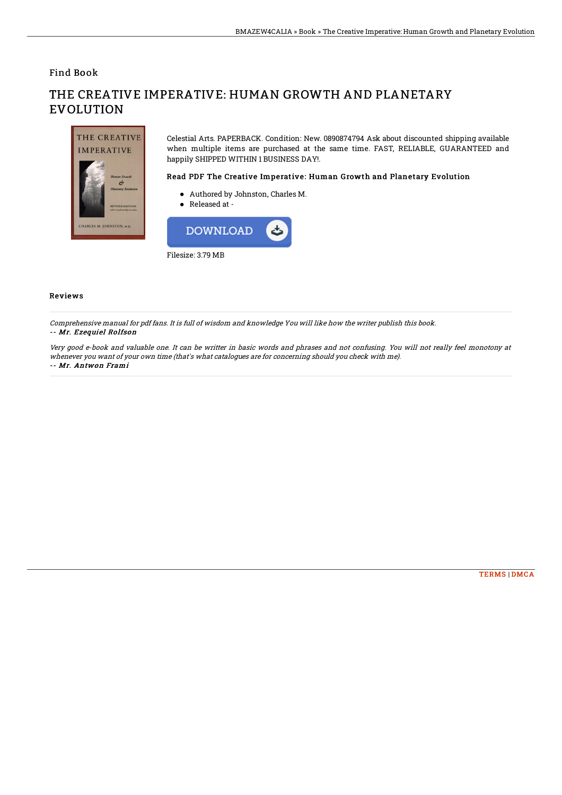Find Book

# THE CREATIVE **IMPERATIVE** M. JOHNSTON, M.

## THE CREATIVE IMPERATIVE: HUMAN GROWTH AND PLANETARY **EVOLUTION**

Celestial Arts. PAPERBACK. Condition: New. 0890874794 Ask about discounted shipping available when multiple items are purchased at the same time. FAST, RELIABLE, GUARANTEED and happily SHIPPED WITHIN 1 BUSINESS DAY!.

#### Read PDF The Creative Imperative: Human Growth and Planetary Evolution

- Authored by Johnston, Charles M.
- Released at -



#### Reviews

Comprehensive manual for pdf fans. It is full of wisdom and knowledge You will like how the writer publish this book. -- Mr. Ezequiel Rolfson

Very good e-book and valuable one. It can be writter in basic words and phrases and not confusing. You will not really feel monotony at whenever you want of your own time (that's what catalogues are for concerning should you check with me). -- Mr. Antwon Frami